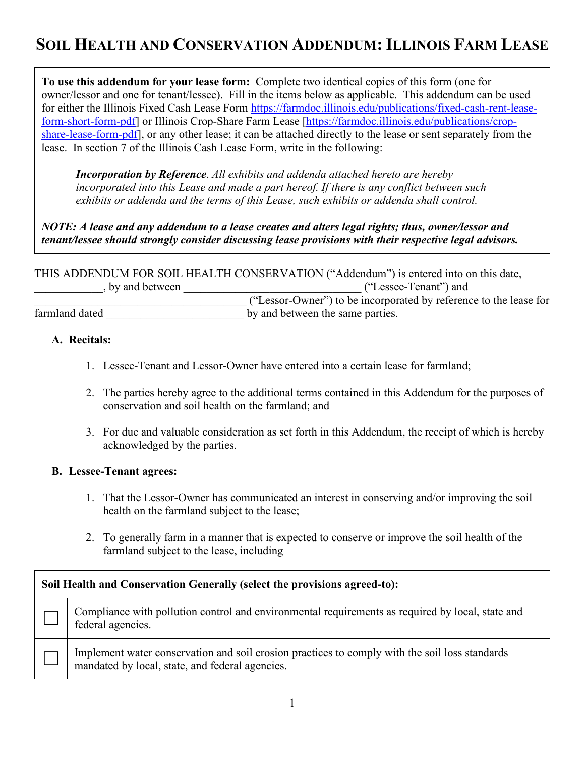# **SOIL HEALTH AND CONSERVATION ADDENDUM: ILLINOIS FARM LEASE**

**To use this addendum for your lease form:** Complete two identical copies of this form (one for owner/lessor and one for tenant/lessee). Fill in the items below as applicable. This addendum can be used for either the Illinois Fixed Cash Lease Form [https://farmdoc.illinois.edu/publications/fixed-cash-rent-lease](https://farmdoc.illinois.edu/publications/fixed-cash-rent-lease-form-short-form-pdf)[form-short-form-pdf\]](https://farmdoc.illinois.edu/publications/fixed-cash-rent-lease-form-short-form-pdf) or Illinois Crop-Share Farm Lease [\[https://farmdoc.illinois.edu/publications/crop](https://farmdoc.illinois.edu/publications/crop-share-lease-form-pdf)[share-lease-form-pdf\]](https://farmdoc.illinois.edu/publications/crop-share-lease-form-pdf), or any other lease; it can be attached directly to the lease or sent separately from the lease. In section 7 of the Illinois Cash Lease Form, write in the following:

*Incorporation by Reference*. *All exhibits and addenda attached hereto are hereby incorporated into this Lease and made a part hereof. If there is any conflict between such exhibits or addenda and the terms of this Lease, such exhibits or addenda shall control.*

*NOTE: A lease and any addendum to a lease creates and alters legal rights; thus, owner/lessor and tenant/lessee should strongly consider discussing lease provisions with their respective legal advisors.*

THIS ADDENDUM FOR SOIL HEALTH CONSERVATION ("Addendum") is entered into on this date,<br>by and between ("Lessee-Tenant") and \_\_\_\_\_\_\_\_\_\_\_\_, by and between \_\_\_\_\_\_\_\_\_\_\_\_\_\_\_\_\_\_\_\_\_\_\_\_\_\_\_\_\_\_\_ ("Lessee-Tenant") and \_\_\_\_\_\_\_\_\_\_\_\_\_\_\_\_\_\_\_\_\_\_\_\_\_\_\_\_\_\_\_\_\_\_\_\_\_ ("Lessor-Owner") to be incorporated by reference to the lease for farmland dated by and between the same parties.

## **A. Recitals:**

- 1. Lessee-Tenant and Lessor-Owner have entered into a certain lease for farmland;
- 2. The parties hereby agree to the additional terms contained in this Addendum for the purposes of conservation and soil health on the farmland; and
- 3. For due and valuable consideration as set forth in this Addendum, the receipt of which is hereby acknowledged by the parties.

## **B. Lessee-Tenant agrees:**

- 1. That the Lessor-Owner has communicated an interest in conserving and/or improving the soil health on the farmland subject to the lease;
- 2. To generally farm in a manner that is expected to conserve or improve the soil health of the farmland subject to the lease, including

| Soil Health and Conservation Generally (select the provisions agreed-to): |                                                                                                                                                   |  |
|---------------------------------------------------------------------------|---------------------------------------------------------------------------------------------------------------------------------------------------|--|
|                                                                           | Compliance with pollution control and environmental requirements as required by local, state and<br>federal agencies.                             |  |
|                                                                           | Implement water conservation and soil erosion practices to comply with the soil loss standards<br>mandated by local, state, and federal agencies. |  |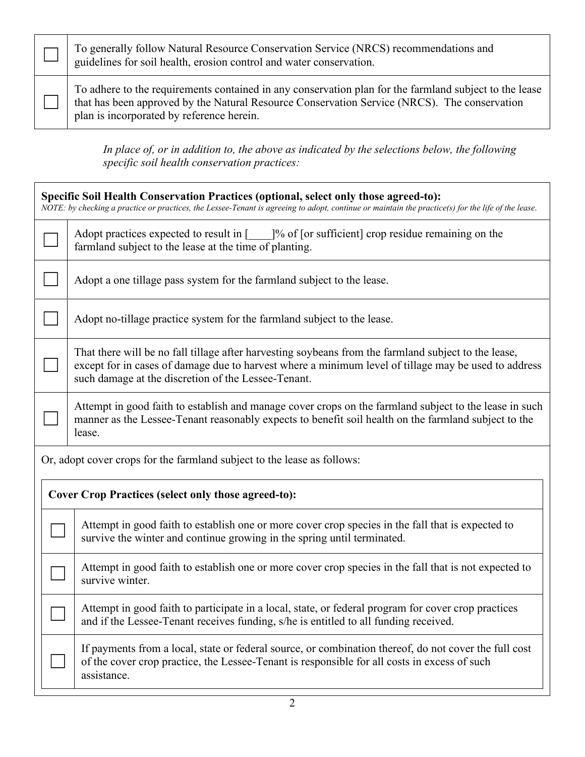□ To generally follow Natural Resource Conservation Service (NRCS) recommendations and guidelines for soil health, erosion control and water conservation.

 $\Box$ 

To adhere to the requirements contained in any conservation plan for the farmland subject to the lease that has been approved by the Natural Resource Conservation Service (NRCS). The conservation plan is incorporated by reference herein.

*In place of, or in addition to, the above as indicated by the selections below, the following specific soil health conservation practices:*

| Specific Soil Health Conservation Practices (optional, select only those agreed-to):<br>NOTE: by checking a practice or practices, the Lessee-Tenant is agreeing to adopt, continue or maintain the practice(s) for the life of the lease. |                                                                                                                                                                                                                                                                     |                                                                                                                                                                                                                      |  |  |
|--------------------------------------------------------------------------------------------------------------------------------------------------------------------------------------------------------------------------------------------|---------------------------------------------------------------------------------------------------------------------------------------------------------------------------------------------------------------------------------------------------------------------|----------------------------------------------------------------------------------------------------------------------------------------------------------------------------------------------------------------------|--|--|
|                                                                                                                                                                                                                                            |                                                                                                                                                                                                                                                                     | Adopt practices expected to result in $\lceil \cdot \cdot \rceil$ % of $\lceil \cdot \cdot \rceil$ or sufficient crop residue remaining on the<br>farmland subject to the lease at the time of planting.             |  |  |
|                                                                                                                                                                                                                                            |                                                                                                                                                                                                                                                                     | Adopt a one tillage pass system for the farmland subject to the lease.                                                                                                                                               |  |  |
|                                                                                                                                                                                                                                            |                                                                                                                                                                                                                                                                     | Adopt no-tillage practice system for the farmland subject to the lease.                                                                                                                                              |  |  |
|                                                                                                                                                                                                                                            | That there will be no fall tillage after harvesting soybeans from the farmland subject to the lease,<br>except for in cases of damage due to harvest where a minimum level of tillage may be used to address<br>such damage at the discretion of the Lessee-Tenant. |                                                                                                                                                                                                                      |  |  |
|                                                                                                                                                                                                                                            | Attempt in good faith to establish and manage cover crops on the farmland subject to the lease in such<br>manner as the Lessee-Tenant reasonably expects to benefit soil health on the farmland subject to the<br>lease.                                            |                                                                                                                                                                                                                      |  |  |
| Or, adopt cover crops for the farmland subject to the lease as follows:                                                                                                                                                                    |                                                                                                                                                                                                                                                                     |                                                                                                                                                                                                                      |  |  |
| <b>Cover Crop Practices (select only those agreed-to):</b>                                                                                                                                                                                 |                                                                                                                                                                                                                                                                     |                                                                                                                                                                                                                      |  |  |
|                                                                                                                                                                                                                                            |                                                                                                                                                                                                                                                                     | Attempt in good faith to establish one or more cover crop species in the fall that is expected to<br>survive the winter and continue growing in the spring until terminated.                                         |  |  |
|                                                                                                                                                                                                                                            |                                                                                                                                                                                                                                                                     | Attempt in good faith to establish one or more cover crop species in the fall that is not expected to<br>survive winter.                                                                                             |  |  |
|                                                                                                                                                                                                                                            |                                                                                                                                                                                                                                                                     | Attempt in good faith to participate in a local, state, or federal program for cover crop practices<br>and if the Lessee-Tenant receives funding, s/he is entitled to all funding received.                          |  |  |
|                                                                                                                                                                                                                                            |                                                                                                                                                                                                                                                                     | If payments from a local, state or federal source, or combination thereof, do not cover the full cost<br>of the cover crop practice, the Lessee-Tenant is responsible for all costs in excess of such<br>assistance. |  |  |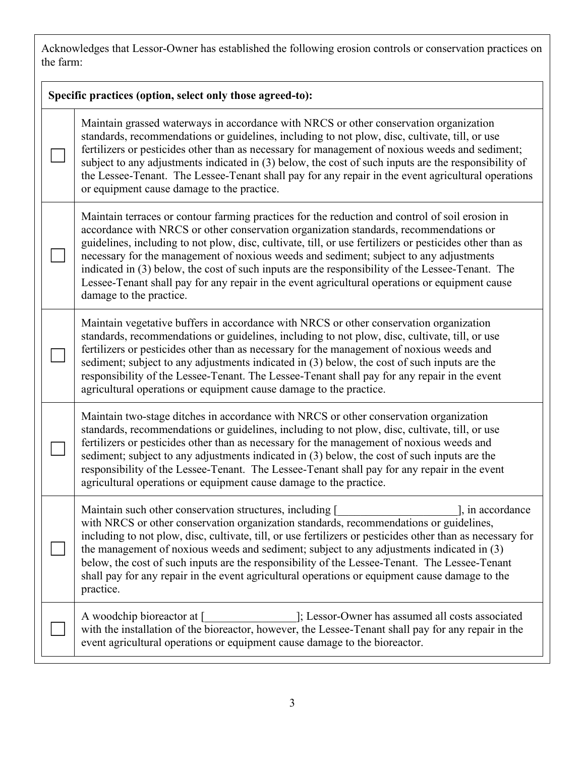Acknowledges that Lessor-Owner has established the following erosion controls or conservation practices on the farm:

| Specific practices (option, select only those agreed-to): |                                                                                                                                                                                                                                                                                                                                                                                                                                                                                                                                                                                                                                              |  |  |  |
|-----------------------------------------------------------|----------------------------------------------------------------------------------------------------------------------------------------------------------------------------------------------------------------------------------------------------------------------------------------------------------------------------------------------------------------------------------------------------------------------------------------------------------------------------------------------------------------------------------------------------------------------------------------------------------------------------------------------|--|--|--|
|                                                           | Maintain grassed waterways in accordance with NRCS or other conservation organization<br>standards, recommendations or guidelines, including to not plow, disc, cultivate, till, or use<br>fertilizers or pesticides other than as necessary for management of noxious weeds and sediment;<br>subject to any adjustments indicated in (3) below, the cost of such inputs are the responsibility of<br>the Lessee-Tenant. The Lessee-Tenant shall pay for any repair in the event agricultural operations<br>or equipment cause damage to the practice.                                                                                       |  |  |  |
|                                                           | Maintain terraces or contour farming practices for the reduction and control of soil erosion in<br>accordance with NRCS or other conservation organization standards, recommendations or<br>guidelines, including to not plow, disc, cultivate, till, or use fertilizers or pesticides other than as<br>necessary for the management of noxious weeds and sediment; subject to any adjustments<br>indicated in (3) below, the cost of such inputs are the responsibility of the Lessee-Tenant. The<br>Lessee-Tenant shall pay for any repair in the event agricultural operations or equipment cause<br>damage to the practice.              |  |  |  |
|                                                           | Maintain vegetative buffers in accordance with NRCS or other conservation organization<br>standards, recommendations or guidelines, including to not plow, disc, cultivate, till, or use<br>fertilizers or pesticides other than as necessary for the management of noxious weeds and<br>sediment; subject to any adjustments indicated in (3) below, the cost of such inputs are the<br>responsibility of the Lessee-Tenant. The Lessee-Tenant shall pay for any repair in the event<br>agricultural operations or equipment cause damage to the practice.                                                                                  |  |  |  |
|                                                           | Maintain two-stage ditches in accordance with NRCS or other conservation organization<br>standards, recommendations or guidelines, including to not plow, disc, cultivate, till, or use<br>fertilizers or pesticides other than as necessary for the management of noxious weeds and<br>sediment; subject to any adjustments indicated in (3) below, the cost of such inputs are the<br>responsibility of the Lessee-Tenant. The Lessee-Tenant shall pay for any repair in the event<br>agricultural operations or equipment cause damage to the practice.                                                                                   |  |  |  |
|                                                           | Maintain such other conservation structures, including [<br>], in accordance<br><u> 1990 - Johann Barbara, martin a</u><br>with NRCS or other conservation organization standards, recommendations or guidelines,<br>including to not plow, disc, cultivate, till, or use fertilizers or pesticides other than as necessary for<br>the management of noxious weeds and sediment; subject to any adjustments indicated in (3)<br>below, the cost of such inputs are the responsibility of the Lessee-Tenant. The Lessee-Tenant<br>shall pay for any repair in the event agricultural operations or equipment cause damage to the<br>practice. |  |  |  |
|                                                           | ]; Lessor-Owner has assumed all costs associated<br>A woodchip bioreactor at [<br>with the installation of the bioreactor, however, the Lessee-Tenant shall pay for any repair in the<br>event agricultural operations or equipment cause damage to the bioreactor.                                                                                                                                                                                                                                                                                                                                                                          |  |  |  |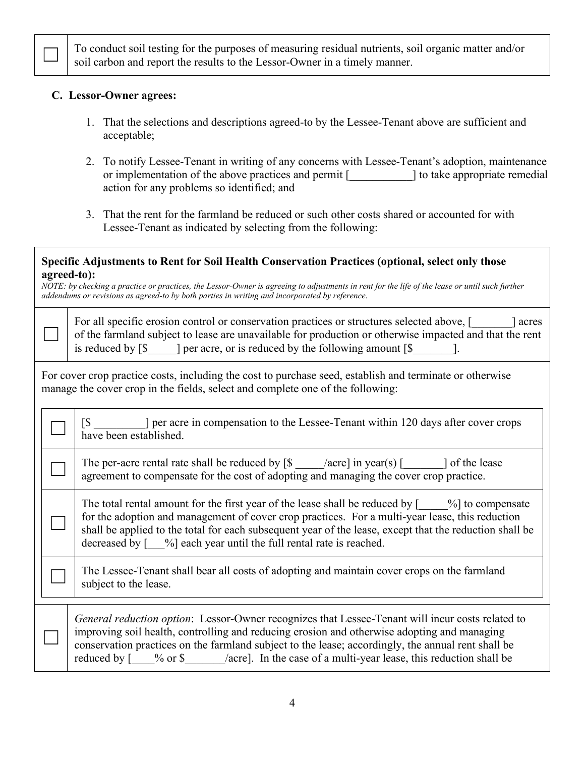To conduct soil testing for the purposes of measuring residual nutrients, soil organic matter and/or soil carbon and report the results to the Lessor-Owner in a timely manner.

#### **C. Lessor-Owner agrees:**

 $\Box$ 

 $\Box$ 

 $\Box$ 

- 1. That the selections and descriptions agreed-to by the Lessee-Tenant above are sufficient and acceptable;
- 2. To notify Lessee-Tenant in writing of any concerns with Lessee-Tenant's adoption, maintenance or implementation of the above practices and permit [2000 ] to take appropriate remedial action for any problems so identified; and
- 3. That the rent for the farmland be reduced or such other costs shared or accounted for with Lessee-Tenant as indicated by selecting from the following:

#### **Specific Adjustments to Rent for Soil Health Conservation Practices (optional, select only those agreed-to):**

*NOTE: by checking a practice or practices, the Lessor-Owner is agreeing to adjustments in rent for the life of the lease or until such further addendums or revisions as agreed-to by both parties in writing and incorporated by reference*.

| For all specific erosion control or conservation practices or structures selected above, [<br>acres     |
|---------------------------------------------------------------------------------------------------------|
| of the farmland subject to lease are unavailable for production or otherwise impacted and that the rent |
| is reduced by $\lceil \$\rceil$<br>per acre, or is reduced by the following amount [\$                  |

For cover crop practice costs, including the cost to purchase seed, establish and terminate or otherwise manage the cover crop in the fields, select and complete one of the following:

[\$  $\blacksquare$ ] per acre in compensation to the Lessee-Tenant within 120 days after cover crops have been established.

 $\Box$  The per-acre rental rate shall be reduced by  $\lbrack \S$  \_\_\_\_/acre] in year(s) [\_\_\_\_\_] of the lease agreement to compensate for the cost of adopting and managing the cover crop practice.

The total rental amount for the first year of the lease shall be reduced by  $\lceil \frac{1}{2} \rceil$  to compensate for the adoption and management of cover crop practices. For a multi-year lease, this reduction shall be applied to the total for each subsequent year of the lease, except that the reduction shall be decreased by  $\lceil \frac{9}{9} \rceil$  each year until the full rental rate is reached.

The Lessee-Tenant shall bear all costs of adopting and maintain cover crops on the farmland subject to the lease.

*General reduction option*: Lessor-Owner recognizes that Lessee-Tenant will incur costs related to improving soil health, controlling and reducing erosion and otherwise adopting and managing conservation practices on the farmland subject to the lease; accordingly, the annual rent shall be reduced by  $\lceil \frac{1}{2} \times \text{ or } \frac{1}{2} \times \text{ acrel} \rceil$ . In the case of a multi-year lease, this reduction shall be